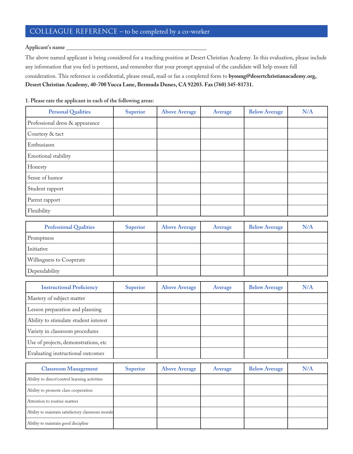## COLLEAGUE REFERENCE – to be completed by a co-worker

## **Applicant's name**

The above named applicant is being considered for a teaching position at Desert Christian Academy. In this evaluation, please include any information that you feel is pertinent, and remember that your prompt appraisal of the candidate will help ensure full consideration. This reference is confidential, please email, mail or fax a completed form to byoung@desertchristianacademy.org, Desert Christian Academy, 40-700 Yucca Lane, Bermuda Dunes, CA 92203. Fax (760) 345-81731.

**1. Please rate the applicant in each of the following areas:**

| <b>Personal Qualities</b>       | Superior | <b>Above Average</b> | Average | <b>Below Average</b> | N/A |
|---------------------------------|----------|----------------------|---------|----------------------|-----|
| Professional dress & appearance |          |                      |         |                      |     |
| Courtesy & tact                 |          |                      |         |                      |     |
| Enthusiasm                      |          |                      |         |                      |     |
| Emotional stability             |          |                      |         |                      |     |
| Honesty                         |          |                      |         |                      |     |
| Sense of humor                  |          |                      |         |                      |     |
| Student rapport                 |          |                      |         |                      |     |
| Parent rapport                  |          |                      |         |                      |     |
| Flexibility                     |          |                      |         |                      |     |

| <b>Professional Qualities</b>   | Superior | <b>Above Average</b> | Average | <b>Below Average</b> | N/A |
|---------------------------------|----------|----------------------|---------|----------------------|-----|
| Promptness                      |          |                      |         |                      |     |
| Initiative                      |          |                      |         |                      |     |
| <b>Willingness to Cooperate</b> |          |                      |         |                      |     |
| Dependability                   |          |                      |         |                      |     |

| <b>Instructional Proficiency</b>      | <b>Superior</b> | <b>Above Average</b> | Average | <b>Below Average</b> | N/A |
|---------------------------------------|-----------------|----------------------|---------|----------------------|-----|
| Mastery of subject matter             |                 |                      |         |                      |     |
| Lesson preparation and planning       |                 |                      |         |                      |     |
| Ability to stimulate student interest |                 |                      |         |                      |     |
| Variety in classroom procedures       |                 |                      |         |                      |     |
| Use of projects, demonstrations, etc  |                 |                      |         |                      |     |
| Evaluating instructional outcomes     |                 |                      |         |                      |     |

| <b>Classroom Management</b>                       | Superior | <b>Above Average</b> | Average | <b>Below Average</b> | N/A |
|---------------------------------------------------|----------|----------------------|---------|----------------------|-----|
| Ability to direct/control learning activities     |          |                      |         |                      |     |
| Ability to promote class cooperation              |          |                      |         |                      |     |
| Attention to routine matters                      |          |                      |         |                      |     |
| Ability to maintain satisfactory classroom morale |          |                      |         |                      |     |
| Ability to maintain good discipline               |          |                      |         |                      |     |